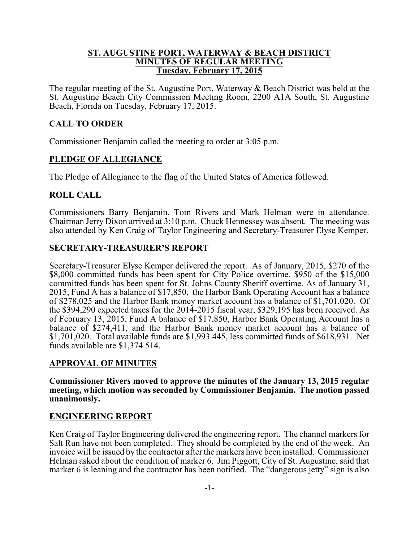#### **ST. AUGUSTINE PORT, WATERWAY & BEACH DISTRICT MINUTES OF REGULAR MEETING Tuesday, February 17, 2015**

The regular meeting of the St. Augustine Port, Waterway & Beach District was held at the St. Augustine Beach City Commission Meeting Room, 2200 A1A South, St. Augustine Beach, Florida on Tuesday, February 17, 2015.

## **CALL TO ORDER**

Commissioner Benjamin called the meeting to order at 3:05 p.m.

## **PLEDGE OF ALLEGIANCE**

The Pledge of Allegiance to the flag of the United States of America followed.

## **ROLL CALL**

Commissioners Barry Benjamin, Tom Rivers and Mark Helman were in attendance. Chairman Jerry Dixon arrived at 3:10 p.m. Chuck Hennessey was absent. The meeting was also attended by Ken Craig of Taylor Engineering and Secretary-Treasurer Elyse Kemper.

### **SECRETARY-TREASURER'S REPORT**

Secretary-Treasurer Elyse Kemper delivered the report. As of January, 2015, \$270 of the \$8,000 committed funds has been spent for City Police overtime. \$950 of the \$15,000 committed funds has been spent for St. Johns County Sheriff overtime. As of January 31, 2015, Fund A has a balance of \$17,850, the Harbor Bank Operating Account has a balance of \$278,025 and the Harbor Bank money market account has a balance of \$1,701,020. Of the \$394,290 expected taxes for the 2014-2015 fiscal year, \$329,195 has been received. As of February 13, 2015, Fund A balance of \$17,850, Harbor Bank Operating Account has a balance of \$274,411, and the Harbor Bank money market account has a balance of \$1,701,020. Total available funds are \$1,993.445, less committed funds of \$618,931. Net funds available are \$1,374.514.

### **APPROVAL OF MINUTES**

**Commissioner Rivers moved to approve the minutes of the January 13, 2015 regular meeting, which motion was seconded by Commissioner Benjamin. The motion passed unanimously.**

### **ENGINEERING REPORT**

Ken Craig of Taylor Engineering delivered the engineering report. The channel markers for Salt Run have not been completed. They should be completed by the end of the week. An invoice will be issued by the contractor after the markers have been installed. Commissioner Helman asked about the condition of marker 6. Jim Piggott, City of St. Augustine, said that marker 6 is leaning and the contractor has been notified. The "dangerous jetty" sign is also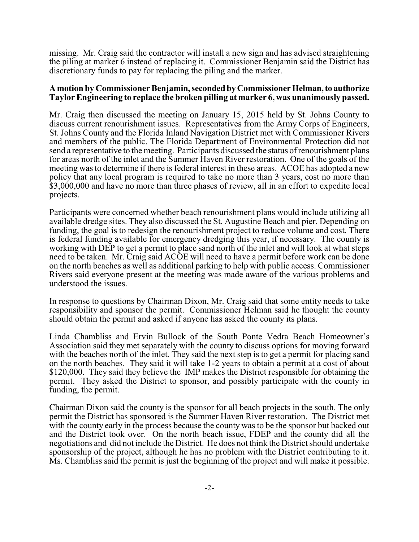missing. Mr. Craig said the contractor will install a new sign and has advised straightening the piling at marker 6 instead of replacing it. Commissioner Benjamin said the District has discretionary funds to pay for replacing the piling and the marker.

#### **A motion by Commissioner Benjamin,secondedby CommissionerHelman,to authorize Taylor Engineering to replace the broken pilling at marker 6, was unanimously passed.**

Mr. Craig then discussed the meeting on January 15, 2015 held by St. Johns County to discuss current renourishment issues. Representatives from the Army Corps of Engineers, St. Johns County and the Florida Inland Navigation District met with Commissioner Rivers and members of the public. The Florida Department of Environmental Protection did not send a representative to the meeting. Participants discussed the status of renourishment plans for areas north of the inlet and the Summer Haven River restoration. One of the goals of the meeting was to determine if there is federal interest in these areas. ACOE has adopted a new policy that any local program is required to take no more than 3 years, cost no more than \$3,000,000 and have no more than three phases of review, all in an effort to expedite local projects.

Participants were concerned whether beach renourishment plans would include utilizing all available dredge sites. They also discussed the St. Augustine Beach and pier. Depending on funding, the goal is to redesign the renourishment project to reduce volume and cost. There is federal funding available for emergency dredging this year, if necessary. The county is working with DEP to get a permit to place sand north of the inlet and will look at what steps need to be taken. Mr. Craig said ACOE will need to have a permit before work can be done on the north beaches as well as additional parking to help with public access. Commissioner Rivers said everyone present at the meeting was made aware of the various problems and understood the issues.

In response to questions by Chairman Dixon, Mr. Craig said that some entity needs to take responsibility and sponsor the permit. Commissioner Helman said he thought the county should obtain the permit and asked if anyone has asked the county its plans.

Linda Chambliss and Ervin Bullock of the South Ponte Vedra Beach Homeowner's Association said they met separately with the county to discuss options for moving forward with the beaches north of the inlet. They said the next step is to get a permit for placing sand on the north beaches. They said it will take 1-2 years to obtain a permit at a cost of about \$120,000. They said they believe the IMP makes the District responsible for obtaining the permit. They asked the District to sponsor, and possibly participate with the county in funding, the permit.

Chairman Dixon said the county is the sponsor for all beach projects in the south. The only permit the District has sponsored is the Summer Haven River restoration. The District met with the county early in the process because the county was to be the sponsor but backed out and the District took over. On the north beach issue, FDEP and the county did all the negotiations and did not include the District. He does not think the District should undertake sponsorship of the project, although he has no problem with the District contributing to it. Ms. Chambliss said the permit is just the beginning of the project and will make it possible.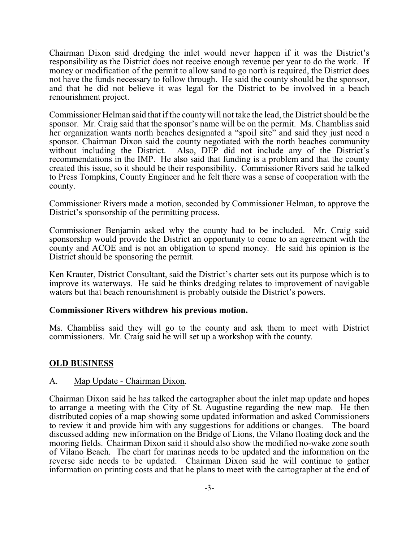Chairman Dixon said dredging the inlet would never happen if it was the District's responsibility as the District does not receive enough revenue per year to do the work. If money or modification of the permit to allow sand to go north is required, the District does not have the funds necessary to follow through. He said the county should be the sponsor, and that he did not believe it was legal for the District to be involved in a beach renourishment project.

Commissioner Helman said that if the county will not take the lead, the District should be the sponsor. Mr. Craig said that the sponsor's name will be on the permit. Ms. Chambliss said her organization wants north beaches designated a "spoil site" and said they just need a sponsor. Chairman Dixon said the county negotiated with the north beaches community without including the District. Also, DEP did not include any of the District's recommendations in the IMP. He also said that funding is a problem and that the county created this issue, so it should be their responsibility. Commissioner Rivers said he talked to Press Tompkins, County Engineer and he felt there was a sense of cooperation with the county.

Commissioner Rivers made a motion, seconded by Commissioner Helman, to approve the District's sponsorship of the permitting process.

Commissioner Benjamin asked why the county had to be included. Mr. Craig said sponsorship would provide the District an opportunity to come to an agreement with the county and ACOE and is not an obligation to spend money. He said his opinion is the District should be sponsoring the permit.

Ken Krauter, District Consultant, said the District's charter sets out its purpose which is to improve its waterways. He said he thinks dredging relates to improvement of navigable waters but that beach renourishment is probably outside the District's powers.

### **Commissioner Rivers withdrew his previous motion.**

Ms. Chambliss said they will go to the county and ask them to meet with District commissioners. Mr. Craig said he will set up a workshop with the county.

### **OLD BUSINESS**

#### A. Map Update - Chairman Dixon.

Chairman Dixon said he has talked the cartographer about the inlet map update and hopes to arrange a meeting with the City of St. Augustine regarding the new map. He then distributed copies of a map showing some updated information and asked Commissioners to review it and provide him with any suggestions for additions or changes. The board discussed adding new information on the Bridge of Lions, the Vilano floating dock and the mooring fields. Chairman Dixon said it should also show the modified no-wake zone south of Vilano Beach. The chart for marinas needs to be updated and the information on the reverse side needs to be updated. Chairman Dixon said he will continue to gather information on printing costs and that he plans to meet with the cartographer at the end of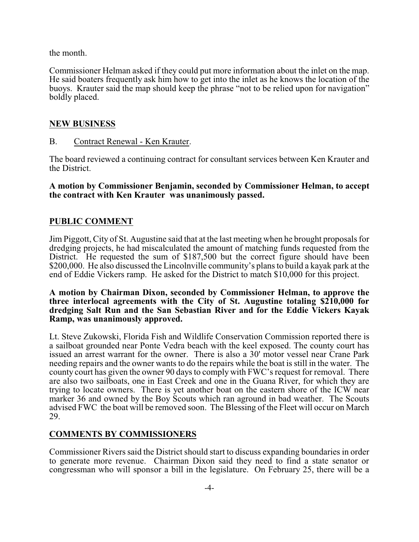the month.

Commissioner Helman asked if they could put more information about the inlet on the map. He said boaters frequently ask him how to get into the inlet as he knows the location of the buoys. Krauter said the map should keep the phrase "not to be relied upon for navigation" boldly placed.

### **NEW BUSINESS**

B. Contract Renewal - Ken Krauter.

The board reviewed a continuing contract for consultant services between Ken Krauter and the District.

**A motion by Commissioner Benjamin, seconded by Commissioner Helman, to accept the contract with Ken Krauter was unanimously passed.**

# **PUBLIC COMMENT**

Jim Piggott, City of St. Augustine said that at the last meeting when he brought proposals for dredging projects, he had miscalculated the amount of matching funds requested from the District. He requested the sum of \$187,500 but the correct figure should have been \$200,000. He also discussed the Lincolnville community's plans to build a kayak park at the end of Eddie Vickers ramp. He asked for the District to match \$10,000 for this project.

#### **A motion by Chairman Dixon, seconded by Commissioner Helman, to approve the three interlocal agreements with the City of St. Augustine totaling \$210,000 for dredging Salt Run and the San Sebastian River and for the Eddie Vickers Kayak Ramp, was unanimously approved.**

Lt. Steve Zukowski, Florida Fish and Wildlife Conservation Commission reported there is a sailboat grounded near Ponte Vedra beach with the keel exposed. The county court has issued an arrest warrant for the owner. There is also a 30' motor vessel near Crane Park needing repairs and the owner wants to do the repairs while the boat is still in the water. The county court has given the owner 90 days to comply with FWC's request for removal. There are also two sailboats, one in East Creek and one in the Guana River, for which they are trying to locate owners. There is yet another boat on the eastern shore of the ICW near marker 36 and owned by the Boy Scouts which ran aground in bad weather. The Scouts advised FWC the boat will be removed soon. The Blessing of the Fleet will occur on March 29.

### **COMMENTS BY COMMISSIONERS**

Commissioner Rivers said the District should start to discuss expanding boundaries in order to generate more revenue. Chairman Dixon said they need to find a state senator or congressman who will sponsor a bill in the legislature. On February 25, there will be a